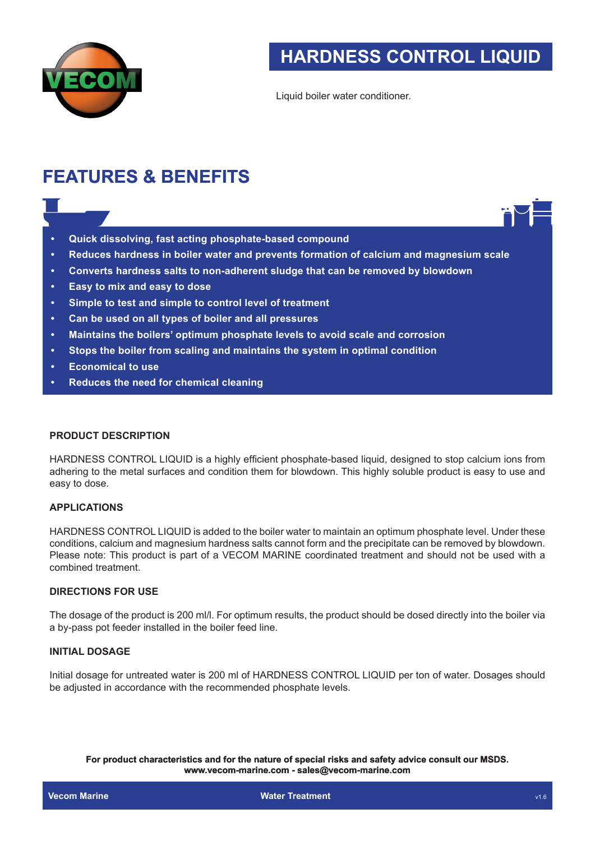

Liquid boiler water conditioner.

# **FEATURES & BENEFITS**

- **• Quick dissolving, fast acting phosphate-based compound**
- **• Reduces hardness in boiler water and prevents formation of calcium and magnesium scale**
- **• Converts hardness salts to non-adherent sludge that can be removed by blowdown**
- **• Easy to mix and easy to dose**
- **• Simple to test and simple to control level of treatment**
- **• Can be used on all types of boiler and all pressures**
- **• Maintains the boilers' optimum phosphate levels to avoid scale and corrosion**
- **• Stops the boiler from scaling and maintains the system in optimal condition**
- **• Economical to use**
- **• Reduces the need for chemical cleaning**

### **PRODUCT DESCRIPTION**

HARDNESS CONTROL LIQUID is a highly efficient phosphate-based liquid, designed to stop calcium ions from adhering to the metal surfaces and condition them for blowdown. This highly soluble product is easy to use and easy to dose.

## **APPLICATIONS**

**HARDNESS CONTROL LIQUID**<br>
<br>
siquid boller water conditioner.<br>
<br>
siquid boller water conditioner.<br>
<br>
sessures<br>
trastment<br>
sessures<br>
vevis to avoid scale and corrosion<br>
the system in optimal condition<br>
the system in optimal HARDNESS CONTROL LIQUID is added to the boiler water to maintain an optimum phosphate level. Under these conditions, calcium and magnesium hardness salts cannot form and the precipitate can be removed by blowdown. Please note: This product is part of a VECOM MARINE coordinated treatment and should not be used with a combined treatment.

#### **DIRECTIONS FOR USE**

The dosage of the product is 200 ml/l. For optimum results, the product should be dosed directly into the boiler via a by-pass pot feeder installed in the boiler feed line.

## **INITIAL DOSAGE**

Initial dosage for untreated water is 200 ml of HARDNESS CONTROL LIQUID per ton of water. Dosages should be adjusted in accordance with the recommended phosphate levels.

**For product characteristics and for the nature of special risks and safety advice consult our MSDS. www.vecom-marine.com - sales@vecom-marine.com**